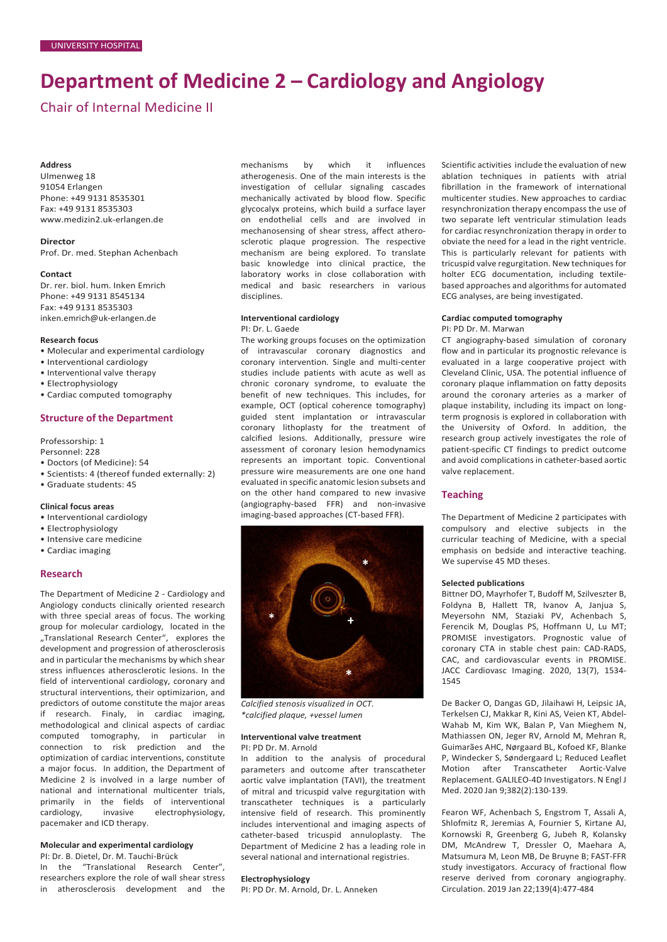# **Department of Medicine 2 – Cardiology and Angiology**

Chair of Internal Medicine II

## **Address**

Ulmenweg 18 91054 Erlangen Phone: +49 9131 8535301 Fax: +49 9131 8535303 [www.medizin2.uk-erlangen.de](http://www.medizin2.uk-erlangen.de/)

**Director** Prof. Dr. med. Stephan Achenbach

#### **Contact**

Dr. rer. biol. hum. Inken Emrich Phone: +49 9131 8545134 Fax: +49 9131 8535303 [inken.emrich@uk-erlangen.de](mailto:inken.emrich@uk-erlangen.de)

## **Research focus**

- Molecular and experimental cardiology
- Interventional cardiology
- Interventional valve therapy
- Electrophysiology
- Cardiac computed tomography

## **Structure of the Department**

Professorship: 1

Personnel: 228

- Doctors (of Medicine): 54
- Scientists: 4 (thereof funded externally: 2)
- Graduate students: 45

# **Clinical focus areas**

- Interventional cardiology
- Electrophysiology
- Intensive care medicine
- Cardiac imaging

## **Research**

The Department of Medicine 2 - Cardiology and Angiology conducts clinically oriented research with three special areas of focus. The working group for molecular cardiology, located in the "Translational Research Center", explores the development and progression of atherosclerosis and in particular the mechanisms by which shear stress influences atherosclerotic lesions. In the field of interventional cardiology, coronary and structural interventions, their optimizarion, and predictors of outome constitute the major areas if research. Finaly, in cardiac imaging, methodological and clinical aspects of cardiac computed tomography, in particular in connection to risk prediction and the optimization of cardiac interventions, constitute a major focus. In addition, the Department of Medicine 2 is involved in a large number of national and international multicenter trials, primarily in the fields of interventional cardiology, invasive electrophysiology, pacemaker and ICD therapy.

# **Molecular and experimental cardiology**

PI: Dr. B. Dietel, Dr. M. Tauchi-Brück In the "Translational Research Center", researchers explore the role of wall shear stress in atherosclerosis development and the mechanisms by which it influences atherogenesis. One of the main interests is the investigation of cellular signaling cascades mechanically activated by blood flow. Specific glycocalyx proteins, which build a surface layer on endothelial cells and are involved in mechanosensing of shear stress, affect atherosclerotic plaque progression. The respective mechanism are being explored. To translate basic knowledge into clinical practice, the laboratory works in close collaboration with medical and basic researchers in various disciplines.

## **Interventional cardiology** PI: Dr. L. Gaede

The working groups focuses on the optimization of intravascular coronary diagnostics and coronary intervention. Single and multi-center studies include patients with acute as well as chronic coronary syndrome, to evaluate the benefit of new techniques. This includes, for example, OCT (optical coherence tomography) guided stent implantation or intravascular coronary lithoplasty for the treatment of calcified lesions. Additionally, pressure wire assessment of coronary lesion hemodynamics represents an important topic. Conventional pressure wire measurements are one one hand evaluated in specific anatomic lesion subsets and on the other hand compared to new invasive (angiography-based FFR) and non-invasive imaging-based approaches (CT-based FFR).



*Calcified stenosis visualized in OCT. \*calcified plaque, +vessel lumen*

#### **Interventional valve treatment**

PI: PD Dr. M. Arnold In addition to the analysis of procedural parameters and outcome after transcatheter aortic valve implantation (TAVI), the treatment of mitral and tricuspid valve regurgitation with transcatheter techniques is a particularly intensive field of research. This prominently includes interventional and imaging aspects of catheter-based tricuspid annuloplasty. The Department of Medicine 2 has a leading role in several national and international registries.

## **Electrophysiology**

PI: PD Dr. M. Arnold, Dr. L. Anneken

Scientific activities include the evaluation of new ablation techniques in patients with atrial fibrillation in the framework of international multicenter studies. New approaches to cardiac resynchronization therapy encompass the use of two separate left ventricular stimulation leads for cardiac resynchronization therapy in order to obviate the need for a lead in the right ventricle. This is particularly relevant for patients with tricuspid valve regurgitation. New techniques for holter ECG documentation, including textilebased approaches and algorithms for automated ECG analyses, are being investigated.

# **Cardiac computed tomography** PI: PD Dr. M. Marwan

CT angiography-based simulation of coronary flow and in particular its prognostic relevance is evaluated in a large cooperative project with Cleveland Clinic, USA. The potential influence of coronary plaque inflammation on fatty deposits around the coronary arteries as a marker of plaque instability, including its impact on longterm prognosis is explored in collaboration with the University of Oxford. In addition, the research group actively investigates the role of patient-specific CT findings to predict outcome and avoid complications in catheter-based aortic valve replacement.

## **Teaching**

The Department of Medicine 2 participates with compulsory and elective subjects in the curricular teaching of Medicine, with a special emphasis on bedside and interactive teaching. We supervise 45 MD theses.

#### **Selected publications**

Bittner DO, Mayrhofer T, Budoff M, Szilveszter B, Foldyna B, Hallett TR, Ivanov A, Janjua S, Meyersohn NM, Staziaki PV, Achenbach S, Ferencik M, Douglas PS, Hoffmann U, Lu MT; PROMISE investigators. Prognostic value of coronary CTA in stable chest pain: CAD-RADS, CAC, and cardiovascular events in PROMISE. JACC Cardiovasc Imaging. 2020, 13(7), 1534- 1545

De Backer O, Dangas GD, Jilaihawi H, Leipsic JA, Terkelsen CJ, Makkar R, Kini AS, Veien KT, Abdel-Wahab M, Kim WK, Balan P, Van Mieghem N, Mathiassen ON, Jeger RV, Arnold M, Mehran R, Guimarães AHC, Nørgaard BL, Kofoed KF, Blanke P, Windecker S, Søndergaard L; Reduced Leaflet Motion after Transcatheter Aortic-Valve Replacement. GALILEO-4D Investigators. N Engl J Med. 2020 Jan 9;382(2):130-139.

Fearon WF, Achenbach S, Engstrom T, Assali A, Shlofmitz R, Jeremias A, Fournier S, Kirtane AJ, Kornowski R, Greenberg G, Jubeh R, Kolansky DM, McAndrew T, Dressler O, Maehara A, Matsumura M, Leon MB, De Bruyne B; FAST-FFR study investigators. Accuracy of fractional flow reserve derived from coronary angiography. Circulation. 2019 Jan 22;139(4):477-484